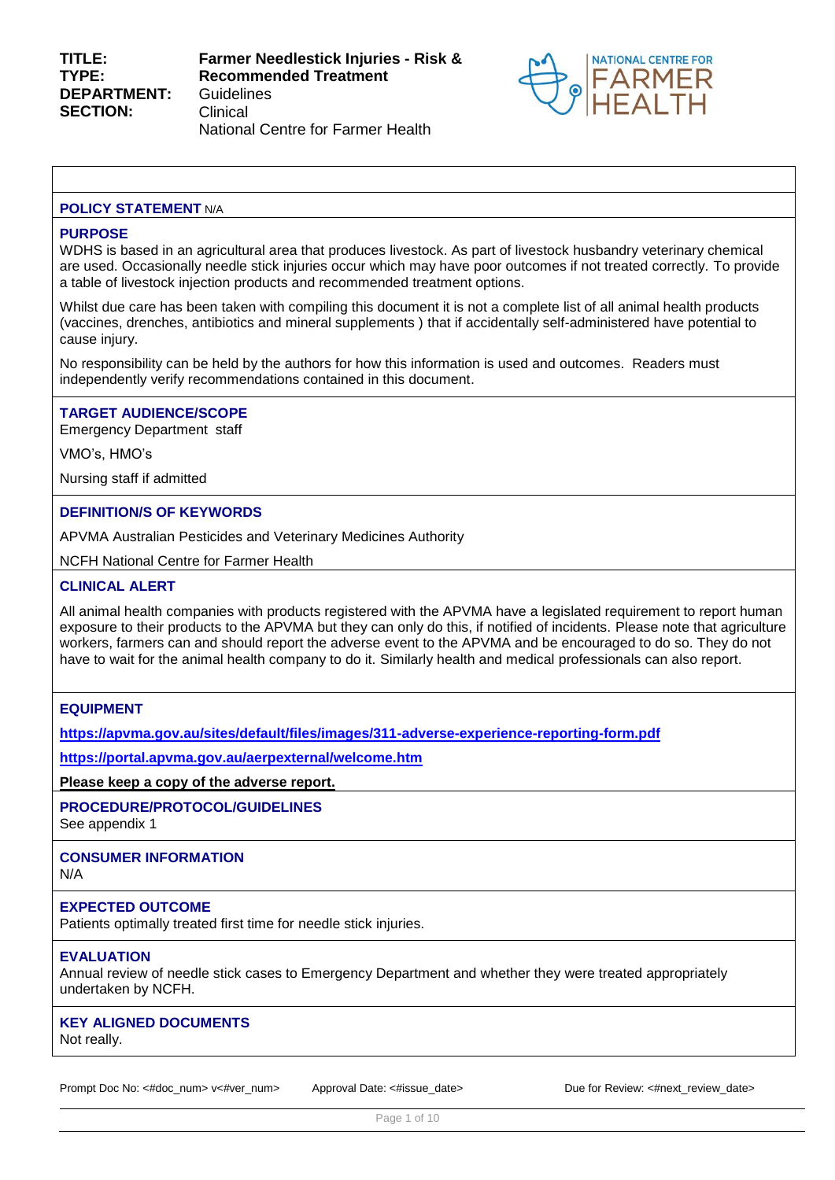

#### **POLICY STATEMENT N/A**

#### **PURPOSE**

WDHS is based in an agricultural area that produces livestock. As part of livestock husbandry veterinary chemical are used. Occasionally needle stick injuries occur which may have poor outcomes if not treated correctly. To provide a table of livestock injection products and recommended treatment options.

Whilst due care has been taken with compiling this document it is not a complete list of all animal health products (vaccines, drenches, antibiotics and mineral supplements ) that if accidentally self-administered have potential to cause injury.

No responsibility can be held by the authors for how this information is used and outcomes. Readers must independently verify recommendations contained in this document.

#### **TARGET AUDIENCE/SCOPE**

Emergency Department staff

VMO's, HMO's

Nursing staff if admitted

### **DEFINITION/S OF KEYWORDS**

APVMA Australian Pesticides and Veterinary Medicines Authority

NCFH National Centre for Farmer Health

#### **CLINICAL ALERT**

All animal health companies with products registered with the APVMA have a legislated requirement to report human exposure to their products to the APVMA but they can only do this, if notified of incidents. Please note that agriculture workers, farmers can and should report the adverse event to the APVMA and be encouraged to do so. They do not have to wait for the animal health company to do it. Similarly health and medical professionals can also report.

### **EQUIPMENT**

**<https://apvma.gov.au/sites/default/files/images/311-adverse-experience-reporting-form.pdf>**

**<https://portal.apvma.gov.au/aerpexternal/welcome.htm>**

**Please keep a copy of the adverse report.** 

### **PROCEDURE/PROTOCOL/GUIDELINES**

See appendix 1

# **CONSUMER INFORMATION**

N/A

### **EXPECTED OUTCOME**

Patients optimally treated first time for needle stick injuries.

## **EVALUATION**

Annual review of needle stick cases to Emergency Department and whether they were treated appropriately undertaken by NCFH.

#### **KEY ALIGNED DOCUMENTS** Not really.

Prompt Doc No: <#doc\_num> v<#ver\_num> Approval Date: <#issue\_date> Due for Review: <#next\_review\_date>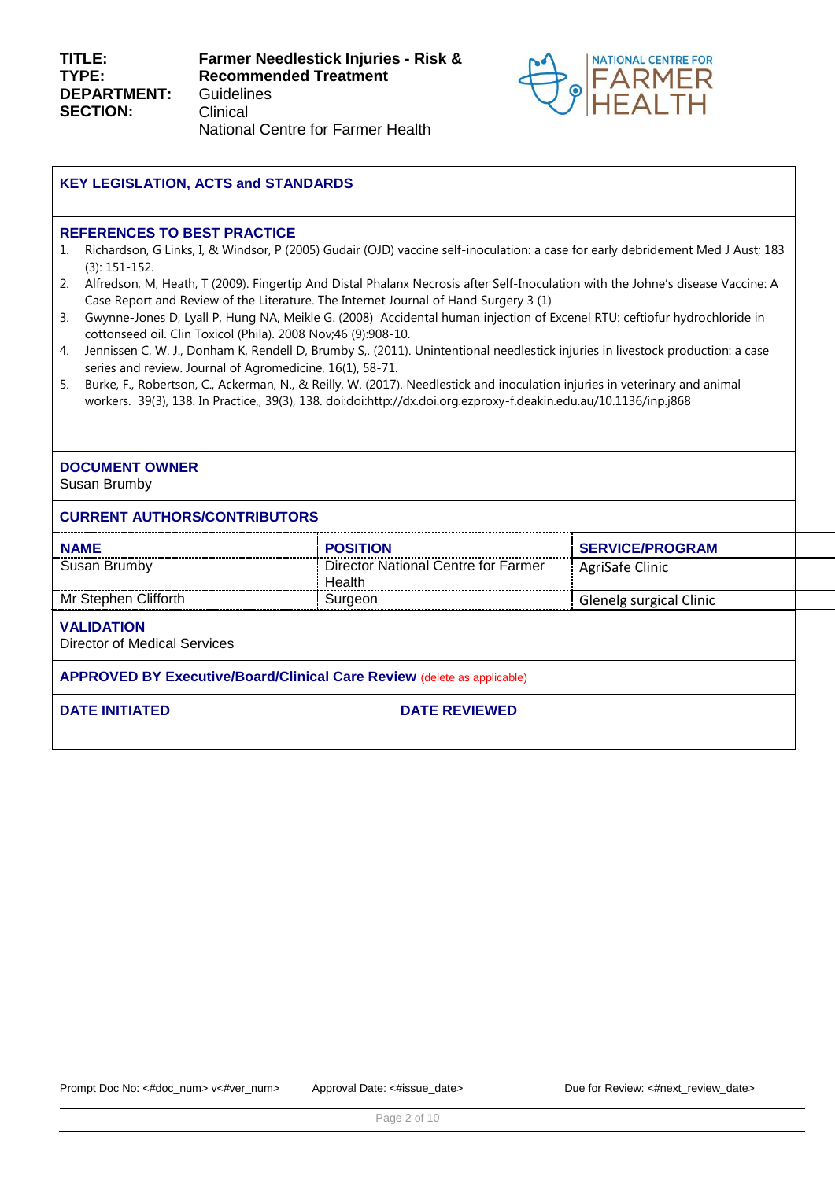

## **KEY LEGISLATION, ACTS and STANDARDS**

#### **REFERENCES TO BEST PRACTICE**

- 1. Richardson, G Links, I, & Windsor, P (2005) Gudair (OJD) vaccine self-inoculation: a case for early debridement Med J Aust; 183 (3): 151-152.
- 2. Alfredson, M, Heath, T (2009). Fingertip And Distal Phalanx Necrosis after Self-Inoculation with the Johne's disease Vaccine: A Case Report and Review of the Literature. The Internet Journal of Hand Surgery 3 (1)
- 3. [Gwynne-Jones D,](http://www.ncbi.nlm.nih.gov/pubmed?term=%22Gwynne-Jones%20D%22%5BAuthor%5D&itool=EntrezSystem2.PEntrez.Pubmed.Pubmed_ResultsPanel.Pubmed_RVAbstract) [Lyall P,](http://www.ncbi.nlm.nih.gov/pubmed?term=%22Lyall%20P%22%5BAuthor%5D&itool=EntrezSystem2.PEntrez.Pubmed.Pubmed_ResultsPanel.Pubmed_RVAbstract) [Hung NA,](http://www.ncbi.nlm.nih.gov/pubmed?term=%22Hung%20NA%22%5BAuthor%5D&itool=EntrezSystem2.PEntrez.Pubmed.Pubmed_ResultsPanel.Pubmed_RVAbstract) [Meikle G.](http://www.ncbi.nlm.nih.gov/pubmed?term=%22Meikle%20G%22%5BAuthor%5D&itool=EntrezSystem2.PEntrez.Pubmed.Pubmed_ResultsPanel.Pubmed_RVAbstract) (2008) Accidental human injection of Excenel RTU: ceftiofur hydrochloride in cottonseed oil. [Clin Toxicol \(Phila\).](javascript:AL_get(this,%20) 2008 Nov;46 (9):908-10.
- 4. Jennissen C, W. J., Donham K, Rendell D, Brumby S,. (2011). Unintentional needlestick injuries in livestock production: a case series and review. Journal of Agromedicine, 16(1), 58-71.
- 5. Burke, F., Robertson, C., Ackerman, N., & Reilly, W. (2017). Needlestick and inoculation injuries in veterinary and animal workers. 39(3), 138. In Practice,, 39(3), 138. doi:doi:http://dx.doi.org.ezproxy-f.deakin.edu.au/10.1136/inp.j868

# **DOCUMENT OWNER**

Susan Brumby

### **CURRENT AUTHORS/CONTRIBUTORS**

| <b>NAME</b>                                                                    | <b>POSITION</b>                               | <b>SERVICE/PROGRAM</b>  |  |
|--------------------------------------------------------------------------------|-----------------------------------------------|-------------------------|--|
| Susan Brumby                                                                   | Director National Centre for Farmer<br>Health | AgriSafe Clinic         |  |
| Mr Stephen Clifforth                                                           | Surgeon                                       | Glenelg surgical Clinic |  |
| <b>VALIDATION</b><br><b>Director of Medical Services</b>                       |                                               |                         |  |
| <b>APPROVED BY Executive/Board/Clinical Care Review (delete as applicable)</b> |                                               |                         |  |

| <b>DATE INITIATED</b> | <b>DATE REVIEWED</b> |
|-----------------------|----------------------|
|                       |                      |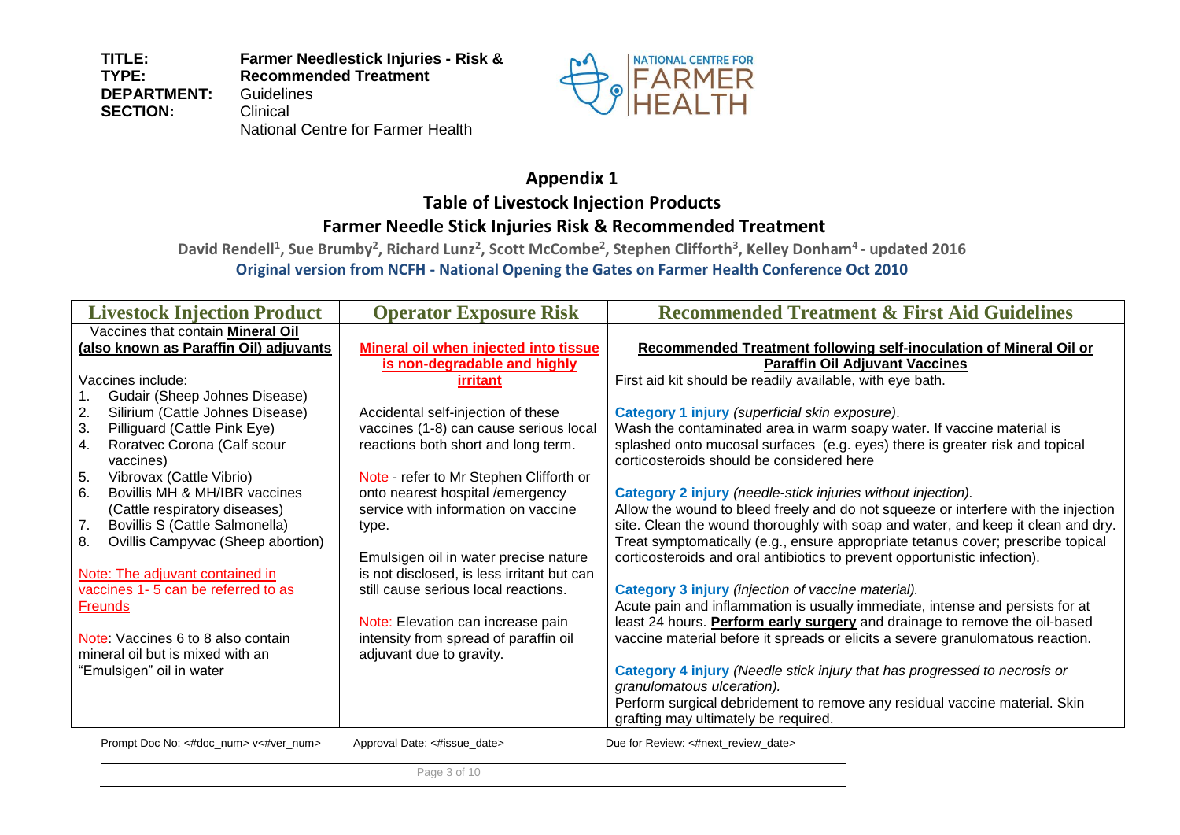**TITLE: TYPE: DEPARTMENT: SECTION: Farmer Needlestick Injuries - Risk & Recommended Treatment Guidelines** Clinical National Centre for Farmer Health



# **Appendix 1 Table of Livestock Injection Products**

# **Farmer Needle Stick Injuries Risk & Recommended Treatment**

**David Rendell<sup>1</sup> , Sue Brumby<sup>2</sup> , Richard Lunz<sup>2</sup> , Scott McCombe<sup>2</sup> , Stephen Clifforth<sup>3</sup> , Kelley Donham<sup>4</sup> - updated 2016 Original version from NCFH - National Opening the Gates on Farmer Health Conference Oct 2010**

| <b>Livestock Injection Product</b>                                              | <b>Operator Exposure Risk</b>              | <b>Recommended Treatment &amp; First Aid Guidelines</b>                                                                                                              |
|---------------------------------------------------------------------------------|--------------------------------------------|----------------------------------------------------------------------------------------------------------------------------------------------------------------------|
| Vaccines that contain <b>Mineral Oil</b>                                        |                                            |                                                                                                                                                                      |
| (also known as Paraffin Oil) adjuvants                                          | Mineral oil when injected into tissue      | Recommended Treatment following self-inoculation of Mineral Oil or                                                                                                   |
|                                                                                 | is non-degradable and highly               | <b>Paraffin Oil Adjuvant Vaccines</b>                                                                                                                                |
| Vaccines include:                                                               | <b>irritant</b>                            | First aid kit should be readily available, with eye bath.                                                                                                            |
| Gudair (Sheep Johnes Disease)                                                   |                                            |                                                                                                                                                                      |
| 2.<br>Silirium (Cattle Johnes Disease)                                          | Accidental self-injection of these         | Category 1 injury (superficial skin exposure).                                                                                                                       |
| 3.<br>Pilliguard (Cattle Pink Eye)                                              | vaccines (1-8) can cause serious local     | Wash the contaminated area in warm soapy water. If vaccine material is                                                                                               |
| Roratvec Corona (Calf scour<br>4.                                               | reactions both short and long term.        | splashed onto mucosal surfaces (e.g. eyes) there is greater risk and topical                                                                                         |
| vaccines)                                                                       |                                            | corticosteroids should be considered here                                                                                                                            |
| 5.<br>Vibrovax (Cattle Vibrio)                                                  | Note - refer to Mr Stephen Clifforth or    |                                                                                                                                                                      |
| 6.<br>Bovillis MH & MH/IBR vaccines                                             | onto nearest hospital /emergency           | <b>Category 2 injury</b> (needle-stick injuries without injection).                                                                                                  |
| (Cattle respiratory diseases)                                                   | service with information on vaccine        | Allow the wound to bleed freely and do not squeeze or interfere with the injection                                                                                   |
| 7.<br>Bovillis S (Cattle Salmonella)<br>Ovillis Campyvac (Sheep abortion)<br>8. | type.                                      | site. Clean the wound thoroughly with soap and water, and keep it clean and dry.<br>Treat symptomatically (e.g., ensure appropriate tetanus cover; prescribe topical |
|                                                                                 | Emulsigen oil in water precise nature      | corticosteroids and oral antibiotics to prevent opportunistic infection).                                                                                            |
| Note: The adjuvant contained in                                                 | is not disclosed, is less irritant but can |                                                                                                                                                                      |
| vaccines 1-5 can be referred to as                                              | still cause serious local reactions.       | Category 3 injury (injection of vaccine material).                                                                                                                   |
| <b>Freunds</b>                                                                  |                                            | Acute pain and inflammation is usually immediate, intense and persists for at                                                                                        |
|                                                                                 | Note: Elevation can increase pain          | least 24 hours. Perform early surgery and drainage to remove the oil-based                                                                                           |
| Note: Vaccines 6 to 8 also contain                                              | intensity from spread of paraffin oil      | vaccine material before it spreads or elicits a severe granulomatous reaction.                                                                                       |
| mineral oil but is mixed with an                                                | adjuvant due to gravity.                   |                                                                                                                                                                      |
| "Emulsigen" oil in water                                                        |                                            | Category 4 injury (Needle stick injury that has progressed to necrosis or                                                                                            |
|                                                                                 |                                            | granulomatous ulceration).                                                                                                                                           |
|                                                                                 |                                            | Perform surgical debridement to remove any residual vaccine material. Skin                                                                                           |
|                                                                                 |                                            | grafting may ultimately be required.                                                                                                                                 |
| Prompt Doc No: <#doc_num> v<#ver_num>                                           | Approval Date: <#issue_date>               | Due for Review: <#next review date>                                                                                                                                  |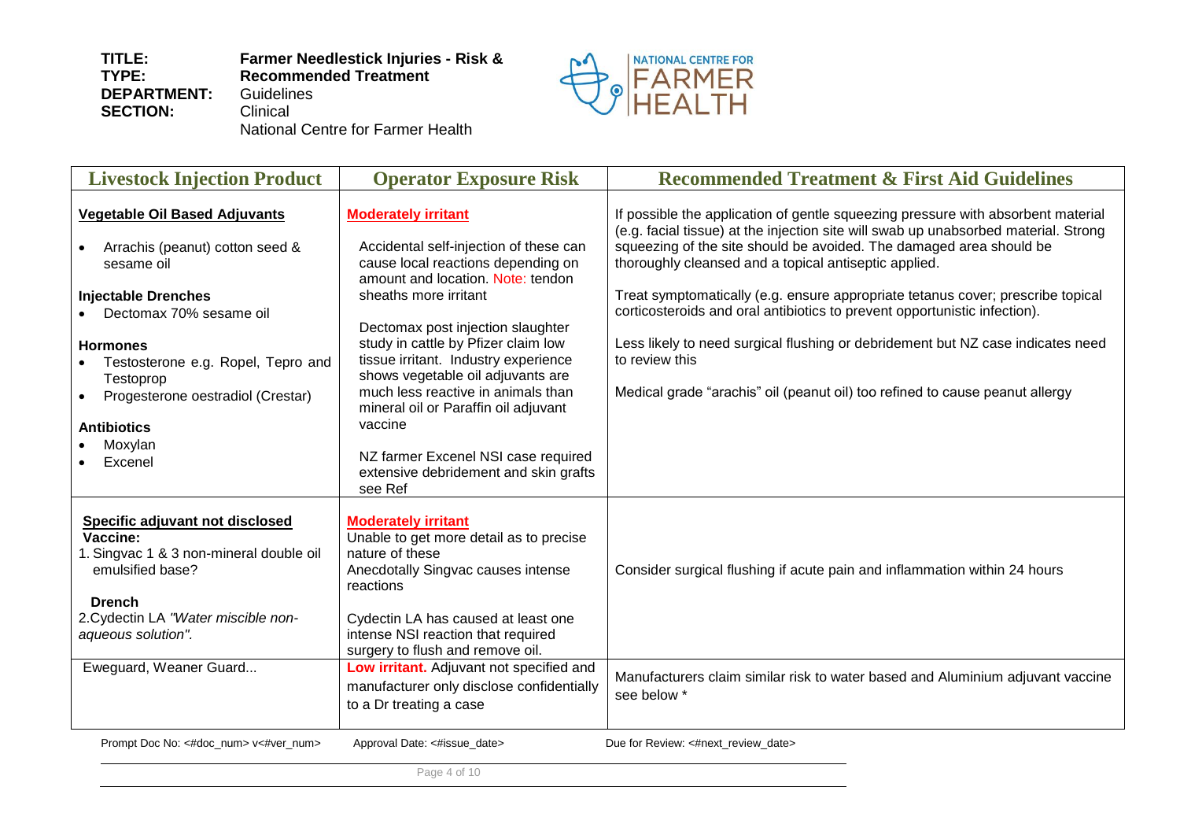

National Centre for Farmer Health

| <b>Livestock Injection Product</b>                                                                                                                                                                                                                                                                                   | <b>Operator Exposure Risk</b>                                                                                                                                                                                                                                                                                                                                                                                                                                                                                         | <b>Recommended Treatment &amp; First Aid Guidelines</b>                                                                                                                                                                                                                                                                                                                                                                                                                                                                                                                                                                                                      |
|----------------------------------------------------------------------------------------------------------------------------------------------------------------------------------------------------------------------------------------------------------------------------------------------------------------------|-----------------------------------------------------------------------------------------------------------------------------------------------------------------------------------------------------------------------------------------------------------------------------------------------------------------------------------------------------------------------------------------------------------------------------------------------------------------------------------------------------------------------|--------------------------------------------------------------------------------------------------------------------------------------------------------------------------------------------------------------------------------------------------------------------------------------------------------------------------------------------------------------------------------------------------------------------------------------------------------------------------------------------------------------------------------------------------------------------------------------------------------------------------------------------------------------|
| <b>Vegetable Oil Based Adjuvants</b><br>Arrachis (peanut) cotton seed &<br>sesame oil<br><b>Injectable Drenches</b><br>• Dectomax 70% sesame oil<br><b>Hormones</b><br>Testosterone e.g. Ropel, Tepro and<br>Testoprop<br>Progesterone oestradiol (Crestar)<br>$\bullet$<br><b>Antibiotics</b><br>Moxylan<br>Excenel | <b>Moderately irritant</b><br>Accidental self-injection of these can<br>cause local reactions depending on<br>amount and location. Note: tendon<br>sheaths more irritant<br>Dectomax post injection slaughter<br>study in cattle by Pfizer claim low<br>tissue irritant. Industry experience<br>shows vegetable oil adjuvants are<br>much less reactive in animals than<br>mineral oil or Paraffin oil adjuvant<br>vaccine<br>NZ farmer Excenel NSI case required<br>extensive debridement and skin grafts<br>see Ref | If possible the application of gentle squeezing pressure with absorbent material<br>(e.g. facial tissue) at the injection site will swab up unabsorbed material. Strong<br>squeezing of the site should be avoided. The damaged area should be<br>thoroughly cleansed and a topical antiseptic applied.<br>Treat symptomatically (e.g. ensure appropriate tetanus cover; prescribe topical<br>corticosteroids and oral antibiotics to prevent opportunistic infection).<br>Less likely to need surgical flushing or debridement but NZ case indicates need<br>to review this<br>Medical grade "arachis" oil (peanut oil) too refined to cause peanut allergy |
| Specific adjuvant not disclosed<br>Vaccine:<br>1. Singvac 1 & 3 non-mineral double oil<br>emulsified base?<br><b>Drench</b><br>2. Cydectin LA "Water miscible non-<br>aqueous solution".<br>Eweguard, Weaner Guard                                                                                                   | <b>Moderately irritant</b><br>Unable to get more detail as to precise<br>nature of these<br>Anecdotally Singvac causes intense<br>reactions<br>Cydectin LA has caused at least one<br>intense NSI reaction that required<br>surgery to flush and remove oil.<br>Low irritant. Adjuvant not specified and<br>manufacturer only disclose confidentially<br>to a Dr treating a case                                                                                                                                      | Consider surgical flushing if acute pain and inflammation within 24 hours<br>Manufacturers claim similar risk to water based and Aluminium adjuvant vaccine<br>see below *                                                                                                                                                                                                                                                                                                                                                                                                                                                                                   |
| Prompt Doc No: <#doc_num> v<#ver_num>                                                                                                                                                                                                                                                                                | Approval Date: <#issue date>                                                                                                                                                                                                                                                                                                                                                                                                                                                                                          | Due for Review: <#next review date>                                                                                                                                                                                                                                                                                                                                                                                                                                                                                                                                                                                                                          |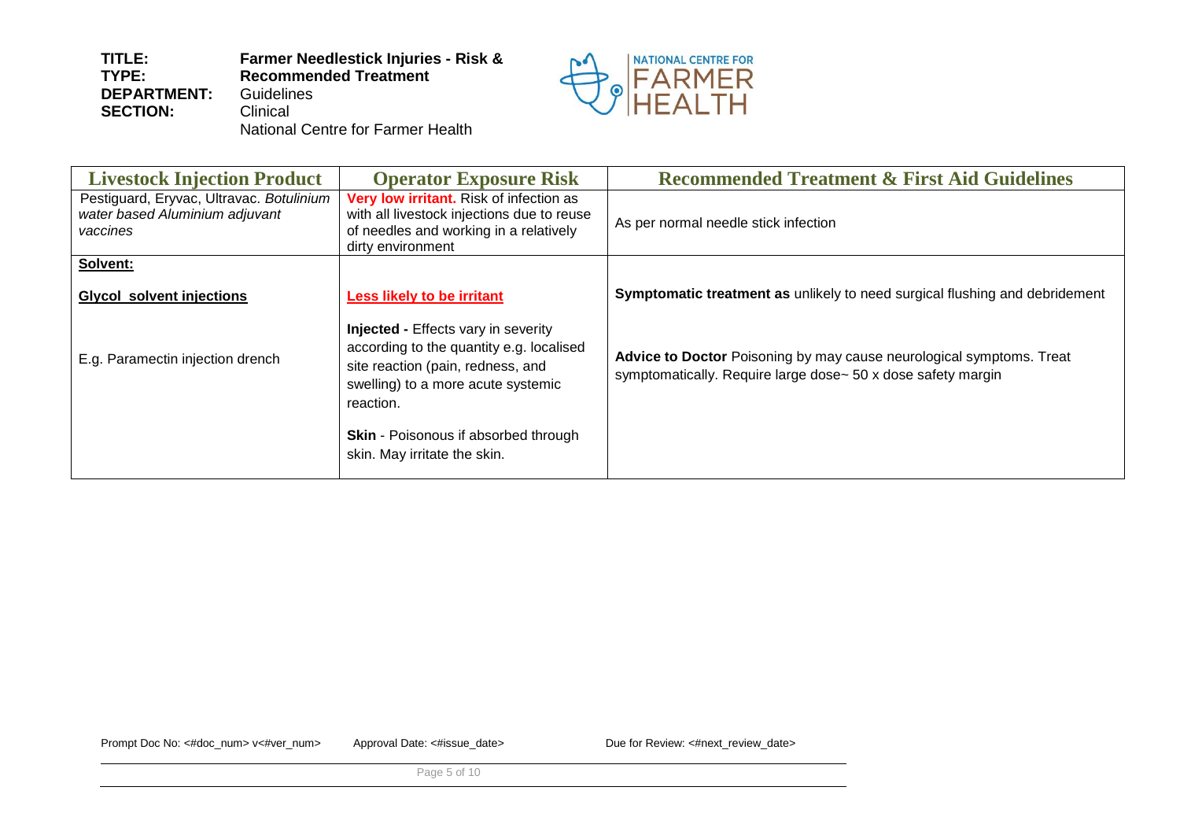

National Centre for Farmer Health

| <b>Livestock Injection Product</b>                                                     | <b>Operator Exposure Risk</b>                                                                                                                                                  | <b>Recommended Treatment &amp; First Aid Guidelines</b>                                                                              |
|----------------------------------------------------------------------------------------|--------------------------------------------------------------------------------------------------------------------------------------------------------------------------------|--------------------------------------------------------------------------------------------------------------------------------------|
| Pestiguard, Eryvac, Ultravac. Botulinium<br>water based Aluminium adjuvant<br>vaccines | Very low irritant. Risk of infection as<br>with all livestock injections due to reuse<br>of needles and working in a relatively<br>dirty environment                           | As per normal needle stick infection                                                                                                 |
| Solvent:                                                                               |                                                                                                                                                                                |                                                                                                                                      |
| <b>Glycol solvent injections</b>                                                       | Less likely to be irritant                                                                                                                                                     | Symptomatic treatment as unlikely to need surgical flushing and debridement                                                          |
| E.g. Paramectin injection drench                                                       | <b>Injected - Effects vary in severity</b><br>according to the quantity e.g. localised<br>site reaction (pain, redness, and<br>swelling) to a more acute systemic<br>reaction. | Advice to Doctor Poisoning by may cause neurological symptoms. Treat<br>symptomatically. Require large dose~ 50 x dose safety margin |
|                                                                                        | <b>Skin</b> - Poisonous if absorbed through<br>skin. May irritate the skin.                                                                                                    |                                                                                                                                      |

Prompt Doc No: <#doc\_num> v<#ver\_num> Approval Date: <#issue\_date>
Due for Review: <#next\_review\_date>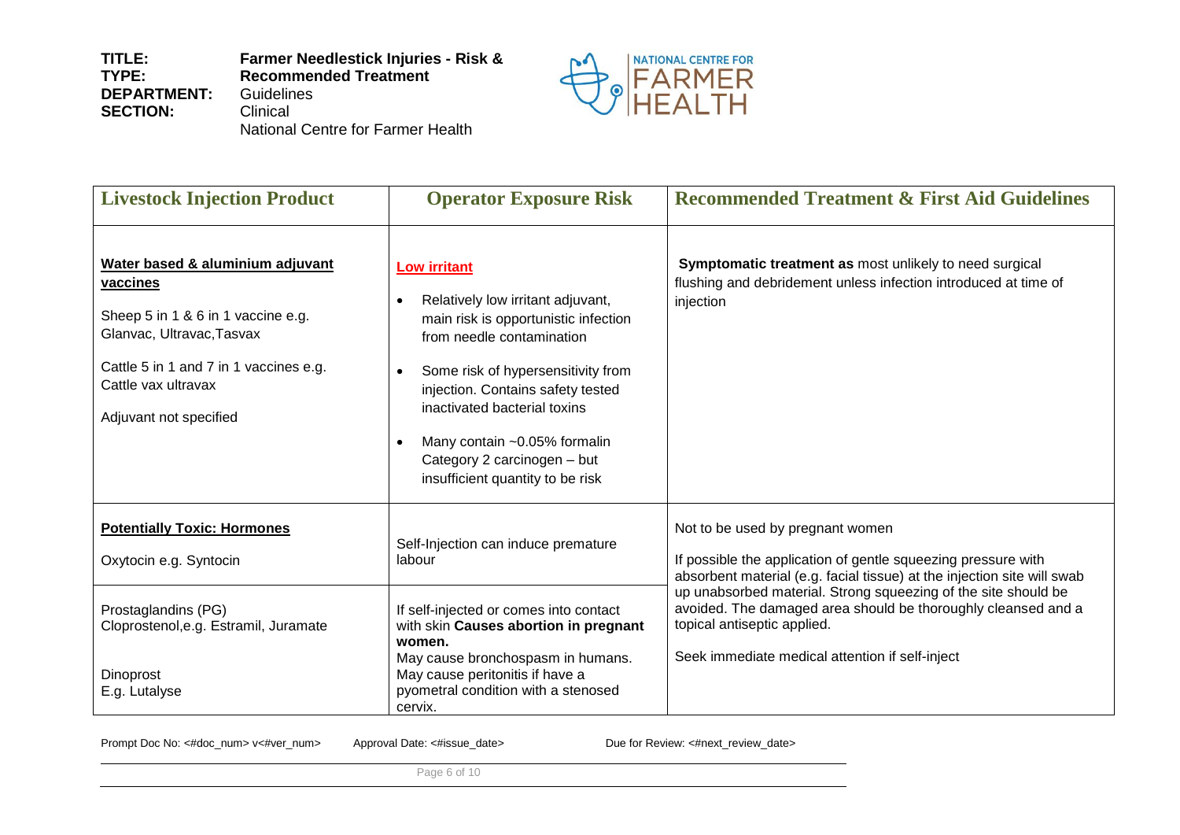**TITLE: TYPE: DEPARTMENT: SECTION: Farmer Needlestick Injuries - Risk & Recommended Treatment Guidelines Clinical** National Centre for Farmer Health



| <b>Livestock Injection Product</b>                                                                                                                                                                         | <b>Operator Exposure Risk</b>                                                                                                                                                                                                                                                                                                                                                      | <b>Recommended Treatment &amp; First Aid Guidelines</b>                                                                                                                                                           |
|------------------------------------------------------------------------------------------------------------------------------------------------------------------------------------------------------------|------------------------------------------------------------------------------------------------------------------------------------------------------------------------------------------------------------------------------------------------------------------------------------------------------------------------------------------------------------------------------------|-------------------------------------------------------------------------------------------------------------------------------------------------------------------------------------------------------------------|
| Water based & aluminium adjuvant<br>vaccines<br>Sheep 5 in 1 & 6 in 1 vaccine e.g.<br>Glanvac, Ultravac, Tasvax<br>Cattle 5 in 1 and 7 in 1 vaccines e.g.<br>Cattle vax ultravax<br>Adjuvant not specified | <b>Low irritant</b><br>Relatively low irritant adjuvant,<br>$\bullet$<br>main risk is opportunistic infection<br>from needle contamination<br>Some risk of hypersensitivity from<br>$\bullet$<br>injection. Contains safety tested<br>inactivated bacterial toxins<br>Many contain ~0.05% formalin<br>$\bullet$<br>Category 2 carcinogen - but<br>insufficient quantity to be risk | Symptomatic treatment as most unlikely to need surgical<br>flushing and debridement unless infection introduced at time of<br>injection                                                                           |
| <b>Potentially Toxic: Hormones</b><br>Oxytocin e.g. Syntocin                                                                                                                                               | Self-Injection can induce premature<br>labour                                                                                                                                                                                                                                                                                                                                      | Not to be used by pregnant women<br>If possible the application of gentle squeezing pressure with<br>absorbent material (e.g. facial tissue) at the injection site will swab                                      |
| Prostaglandins (PG)<br>Cloprostenol, e.g. Estramil, Juramate                                                                                                                                               | If self-injected or comes into contact<br>with skin Causes abortion in pregnant<br>women.<br>May cause bronchospasm in humans.                                                                                                                                                                                                                                                     | up unabsorbed material. Strong squeezing of the site should be<br>avoided. The damaged area should be thoroughly cleansed and a<br>topical antiseptic applied.<br>Seek immediate medical attention if self-inject |
| Dinoprost<br>E.g. Lutalyse                                                                                                                                                                                 | May cause peritonitis if have a<br>pyometral condition with a stenosed<br>cervix.                                                                                                                                                                                                                                                                                                  |                                                                                                                                                                                                                   |

Prompt Doc No: <#doc\_num> v<#ver\_num> Approval Date: <#issue\_date>
Due for Review: <#next\_review\_date>

Page 6 of 10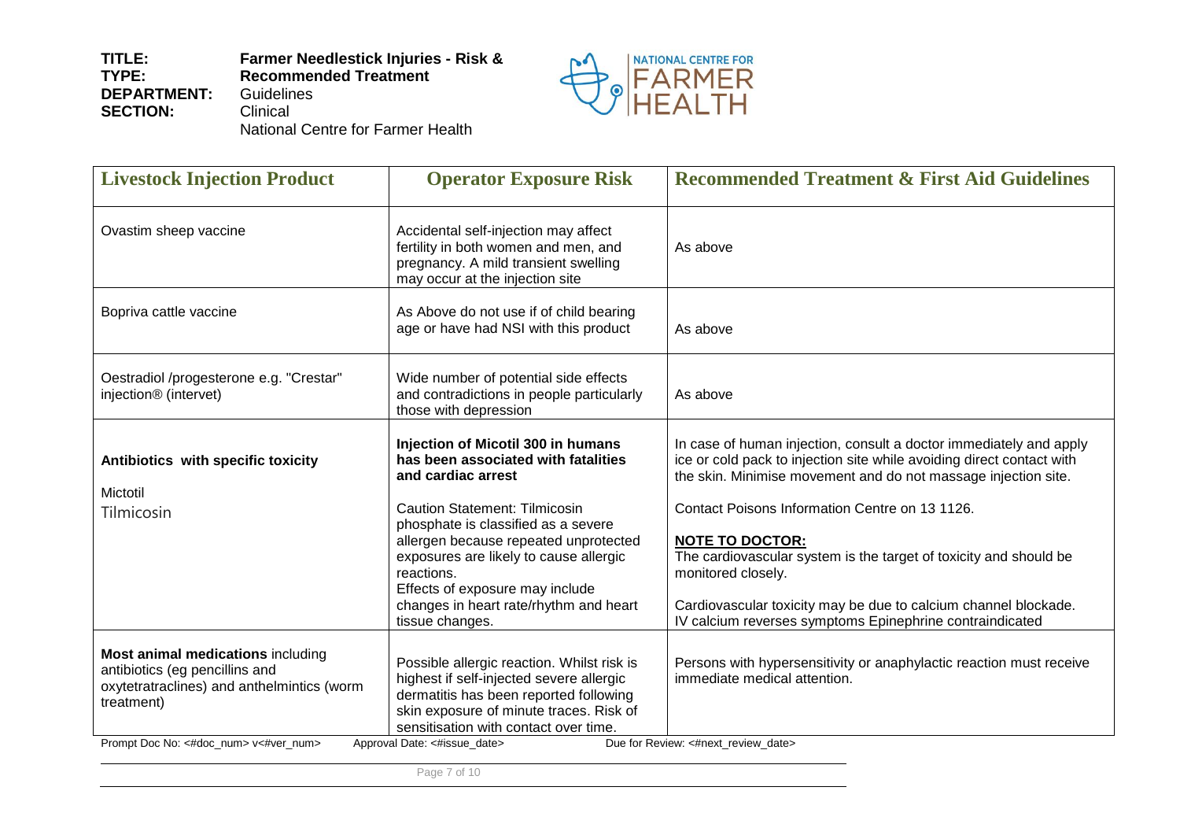

National Centre for Farmer Health

| <b>Livestock Injection Product</b>                                                                                                                                       | <b>Operator Exposure Risk</b>                                                                                                                                                                                                                       | <b>Recommended Treatment &amp; First Aid Guidelines</b>                                                                                                                                                       |
|--------------------------------------------------------------------------------------------------------------------------------------------------------------------------|-----------------------------------------------------------------------------------------------------------------------------------------------------------------------------------------------------------------------------------------------------|---------------------------------------------------------------------------------------------------------------------------------------------------------------------------------------------------------------|
| Ovastim sheep vaccine                                                                                                                                                    | Accidental self-injection may affect<br>fertility in both women and men, and<br>pregnancy. A mild transient swelling<br>may occur at the injection site                                                                                             | As above                                                                                                                                                                                                      |
| Bopriva cattle vaccine                                                                                                                                                   | As Above do not use if of child bearing<br>age or have had NSI with this product                                                                                                                                                                    | As above                                                                                                                                                                                                      |
| Oestradiol /progesterone e.g. "Crestar"<br>injection <sup>®</sup> (intervet)                                                                                             | Wide number of potential side effects<br>and contradictions in people particularly<br>those with depression                                                                                                                                         | As above                                                                                                                                                                                                      |
| Antibiotics with specific toxicity<br>Mictotil                                                                                                                           | Injection of Micotil 300 in humans<br>has been associated with fatalities<br>and cardiac arrest                                                                                                                                                     | In case of human injection, consult a doctor immediately and apply<br>ice or cold pack to injection site while avoiding direct contact with<br>the skin. Minimise movement and do not massage injection site. |
| Tilmicosin                                                                                                                                                               | <b>Caution Statement: Tilmicosin</b><br>phosphate is classified as a severe<br>allergen because repeated unprotected<br>exposures are likely to cause allergic<br>reactions.<br>Effects of exposure may include                                     | Contact Poisons Information Centre on 13 1126.<br><b>NOTE TO DOCTOR:</b><br>The cardiovascular system is the target of toxicity and should be<br>monitored closely.                                           |
|                                                                                                                                                                          | changes in heart rate/rhythm and heart<br>tissue changes.                                                                                                                                                                                           | Cardiovascular toxicity may be due to calcium channel blockade.<br>IV calcium reverses symptoms Epinephrine contraindicated                                                                                   |
| Most animal medications including<br>antibiotics (eg pencillins and<br>oxytetratraclines) and anthelmintics (worm<br>treatment)<br>Prompt Doc No: <#doc_num> v<#ver_num> | Possible allergic reaction. Whilst risk is<br>highest if self-injected severe allergic<br>dermatitis has been reported following<br>skin exposure of minute traces. Risk of<br>sensitisation with contact over time<br>Approval Date: <#issue_date> | Persons with hypersensitivity or anaphylactic reaction must receive<br>immediate medical attention.<br>Due for Review: <#next_review_date>                                                                    |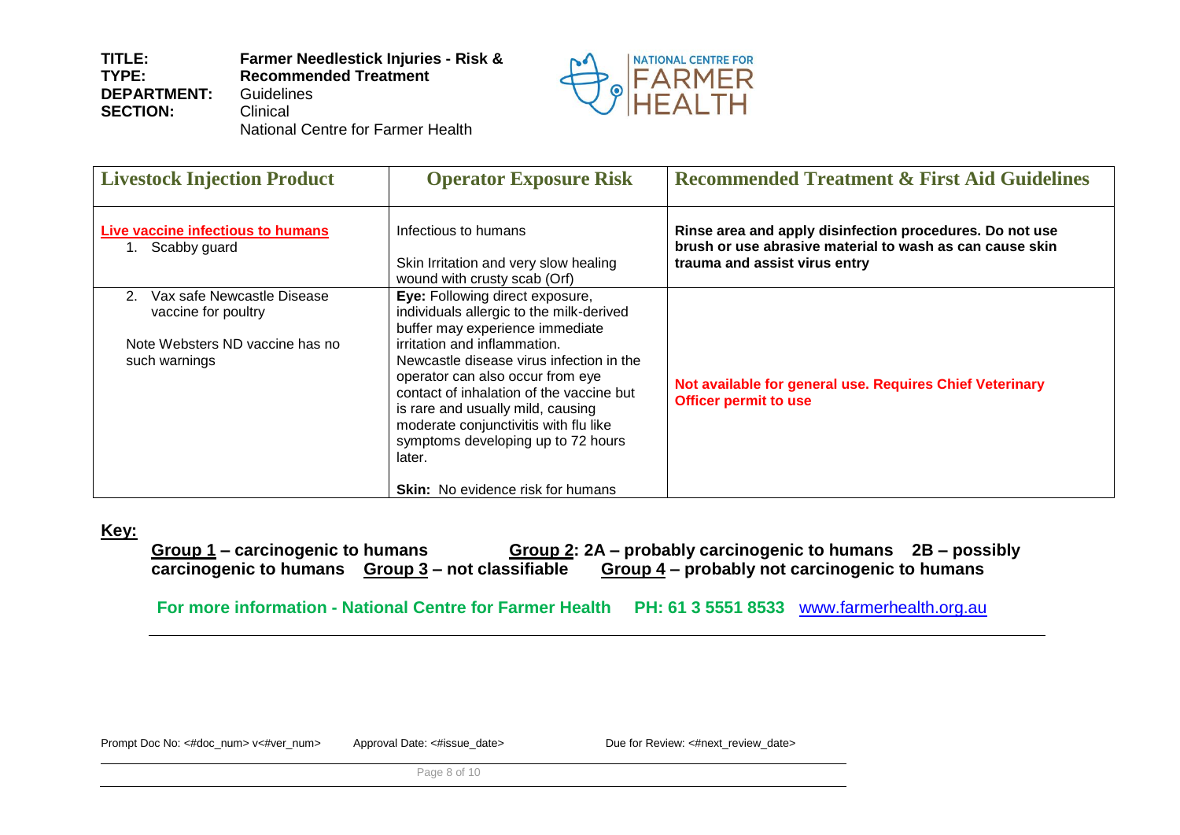

National Centre for Farmer Health

| <b>Livestock Injection Product</b>                                                                                      | <b>Operator Exposure Risk</b>                                                                                                                                                                                                                                                                                                                                                                                                                        | <b>Recommended Treatment &amp; First Aid Guidelines</b>                                                                                               |
|-------------------------------------------------------------------------------------------------------------------------|------------------------------------------------------------------------------------------------------------------------------------------------------------------------------------------------------------------------------------------------------------------------------------------------------------------------------------------------------------------------------------------------------------------------------------------------------|-------------------------------------------------------------------------------------------------------------------------------------------------------|
| Live vaccine infectious to humans<br>1. Scabby guard                                                                    | Infectious to humans<br>Skin Irritation and very slow healing<br>wound with crusty scab (Orf)                                                                                                                                                                                                                                                                                                                                                        | Rinse area and apply disinfection procedures. Do not use<br>brush or use abrasive material to wash as can cause skin<br>trauma and assist virus entry |
| Vax safe Newcastle Disease<br>2 <sub>1</sub><br>vaccine for poultry<br>Note Websters ND vaccine has no<br>such warnings | Eye: Following direct exposure,<br>individuals allergic to the milk-derived<br>buffer may experience immediate<br>irritation and inflammation.<br>Newcastle disease virus infection in the<br>operator can also occur from eye<br>contact of inhalation of the vaccine but<br>is rare and usually mild, causing<br>moderate conjunctivitis with flu like<br>symptoms developing up to 72 hours<br>later.<br><b>Skin:</b> No evidence risk for humans | Not available for general use. Requires Chief Veterinary<br><b>Officer permit to use</b>                                                              |

## **Key:**

**Group 1 – carcinogenic to humans Group 2: 2A – probably carcinogenic to humans 2B – possibly carcinogenic to humans Group 3 – not classifiable Group 4 – probably not carcinogenic to humans**

**For more information - National Centre for Farmer Health PH: 61 3 5551 8533** [www.farmerhealth.org.au](http://www.farmerhealth.org.au/)

Prompt Doc No: <#doc\_num> v<#ver\_num> Approval Date: <#issue\_date> Due for Review: <#next\_review\_date>

Page 8 of 10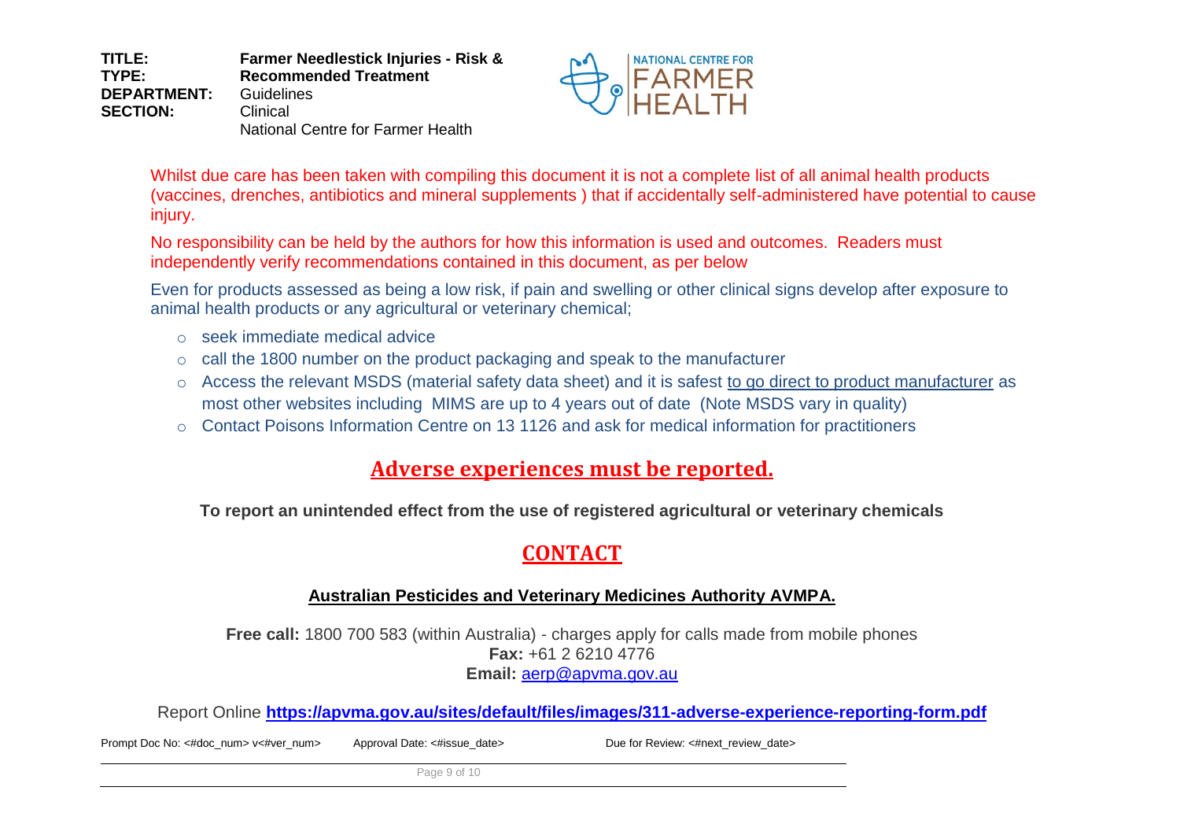**TITLE: TYPE: DEPARTMENT: SECTION: Farmer Needlestick Injuries - Risk & Recommended Treatment** Guidelines Clinical National Centre for Farmer Health



Whilst due care has been taken with compiling this document it is not a complete list of all animal health products (vaccines, drenches, antibiotics and mineral supplements ) that if accidentally self-administered have potential to cause injury.

No responsibility can be held by the authors for how this information is used and outcomes. Readers must independently verify recommendations contained in this document, as per below

Even for products assessed as being a low risk, if pain and swelling or other clinical signs develop after exposure to animal health products or any agricultural or veterinary chemical;

- o seek immediate medical advice
- o call the 1800 number on the product packaging and speak to the manufacturer
- o Access the relevant MSDS (material safety data sheet) and it is safest to go direct to product manufacturer as most other websites including MIMS are up to 4 years out of date (Note MSDS vary in quality)
- o Contact Poisons Information Centre on 13 1126 and ask for medical information for practitioners

# **Adverse experiences must be reported.**

**To report an unintended effect from the use of registered agricultural or veterinary chemicals** 

# **CONTACT**

# **Australian Pesticides and Veterinary Medicines Authority AVMPA.**

**Free call:** 1800 700 583 (within Australia) - charges apply for calls made from mobile phones **Fax:** +61 2 6210 4776 **Email:** [aerp@apvma.gov.au](mailto:aerp@apvma.gov.au)

Report Online **<https://apvma.gov.au/sites/default/files/images/311-adverse-experience-reporting-form.pdf>**

Prompt Doc No: <#doc\_num> v<#ver\_num> Approval Date: <#issue\_date> Due for Review: <#next\_review\_date>

Page 9 of 10